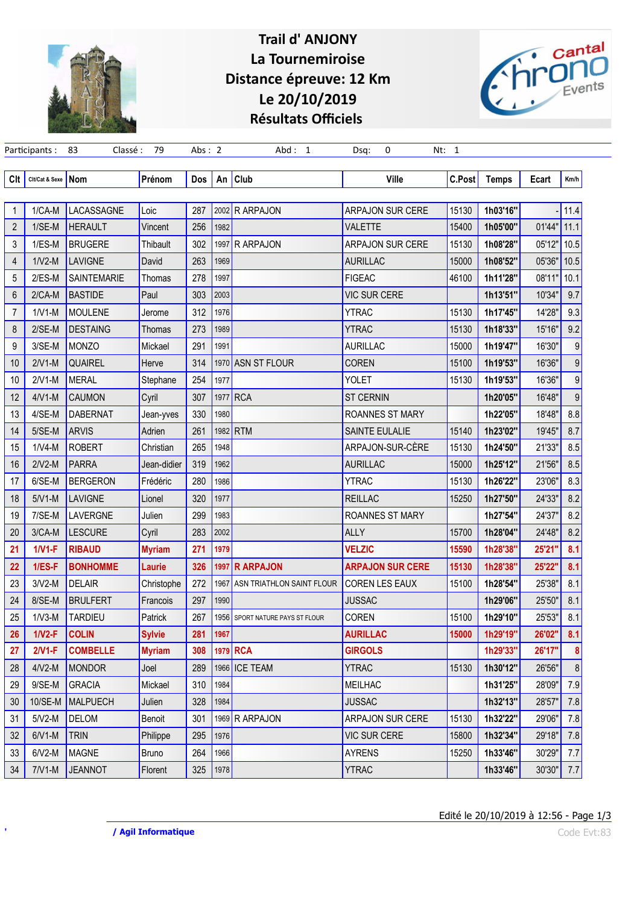

## Trail d' ANJONY La Tournemiroise Distance épreuve: 12 Km Le 20/10/2019 Résultats Officiels



|                | Participants:        | Classé:<br>83   | 79            | Abs: $2$ |      | Abd: 1                     | 0<br>Dsq:               | Nt: 1  |              |        |      |
|----------------|----------------------|-----------------|---------------|----------|------|----------------------------|-------------------------|--------|--------------|--------|------|
| Clt            | Cit/Cat & Sexe   Nom |                 | Prénom        | Dos      | An   | <b>Club</b>                | Ville                   | C.Post | <b>Temps</b> | Ecart  | Km/h |
|                |                      |                 |               |          |      |                            |                         |        |              |        |      |
| 1              | $1/CA-M$             | LACASSAGNE      | Loic          | 287      |      | 2002 R ARPAJON             | <b>ARPAJON SUR CERE</b> | 15130  | 1h03'16"     |        | 11.4 |
| $\overline{2}$ | $1/SE-M$             | <b>HERAULT</b>  | Vincent       | 256      | 1982 |                            | <b>VALETTE</b>          | 15400  | 1h05'00"     | 01'44" | 11.1 |
| 3              | $1/ES-M$             | <b>BRUGERE</b>  | Thibault      | 302      | 1997 | R ARPAJON                  | <b>ARPAJON SUR CERE</b> | 15130  | 1h08'28"     | 05'12" | 10.5 |
| 4              | $1/V2-M$             | <b>LAVIGNE</b>  | David         | 263      | 1969 |                            | <b>AURILLAC</b>         | 15000  | 1h08'52"     | 05'36" | 10.5 |
| 5              | $2/ES-M$             | SAINTEMARIE     | Thomas        | 278      | 1997 |                            | <b>FIGEAC</b>           | 46100  | 1h11'28"     | 08'11" | 10.1 |
| 6              | $2/CA-M$             | <b>BASTIDE</b>  | Paul          | 303      | 2003 |                            | <b>VIC SUR CERE</b>     |        | 1h13'51"     | 10'34" | 9.7  |
| 7              | $1/V1-M$             | <b>MOULENE</b>  | Jerome        | 312      | 1976 |                            | YTRAC                   | 15130  | 1h17'45"     | 14'28" | 9.3  |
| 8              | $2/SE-M$             | <b>DESTAING</b> | Thomas        | 273      | 1989 |                            | <b>YTRAC</b>            | 15130  | 1h18'33"     | 15'16" | 9.2  |
| 9              | 3/SE-M               | <b>MONZO</b>    | Mickael       | 291      | 1991 |                            | <b>AURILLAC</b>         | 15000  | 1h19'47"     | 16'30" | 9    |
| 10             | $2/V1-M$             | <b>QUAIREL</b>  | Herve         | 314      |      | 1970 ASN ST FLOUR          | <b>COREN</b>            | 15100  | 1h19'53"     | 16'36" | 9    |
| 10             | $2/V1-M$             | <b>MERAL</b>    | Stephane      | 254      | 1977 |                            | <b>YOLET</b>            | 15130  | 1h19'53"     | 16'36" | 9    |
| 12             | $4/V1-M$             | <b>CAUMON</b>   | Cyril         | 307      |      | 1977 RCA                   | <b>ST CERNIN</b>        |        | 1h20'05"     | 16'48" | 9    |
| 13             | 4/SE-M               | <b>DABERNAT</b> | Jean-yves     | 330      | 1980 |                            | ROANNES ST MARY         |        | 1h22'05"     | 18'48" | 8.8  |
| 14             | $5/SE-M$             | <b>ARVIS</b>    | Adrien        | 261      | 1982 | <b>RTM</b>                 | SAINTE EULALIE          | 15140  | 1h23'02"     | 19'45" | 8.7  |
| 15             | $1/V4-M$             | <b>ROBERT</b>   | Christian     | 265      | 1948 |                            | ARPAJON-SUR-CÈRE        | 15130  | 1h24'50"     | 21'33" | 8.5  |
| 16             | $2/V2-M$             | <b>PARRA</b>    | Jean-didier   | 319      | 1962 |                            | <b>AURILLAC</b>         | 15000  | 1h25'12"     | 21'56" | 8.5  |
| 17             | 6/SE-M               | <b>BERGERON</b> | Frédéric      | 280      | 1986 |                            | <b>YTRAC</b>            | 15130  | 1h26'22"     | 23'06" | 8.3  |
| 18             | $5/V1-M$             | <b>LAVIGNE</b>  | Lionel        | 320      | 1977 |                            | <b>REILLAC</b>          | 15250  | 1h27'50"     | 24'33" | 8.2  |
| 19             | 7/SE-M               | LAVERGNE        | Julien        | 299      | 1983 |                            | <b>ROANNES ST MARY</b>  |        | 1h27'54"     | 24'37" | 8.2  |
| 20             | $3/CA-M$             | <b>LESCURE</b>  | Cyril         | 283      | 2002 |                            | ALLY                    | 15700  | 1h28'04"     | 24'48" | 8.2  |
| 21             | $1/V1-F$             | <b>RIBAUD</b>   | <b>Myriam</b> | 271      | 1979 |                            | <b>VELZIC</b>           | 15590  | 1h28'38"     | 25'21" | 8.1  |
| 22             | $1/ES-F$             | <b>BONHOMME</b> | Laurie        | 326      | 1997 | <b>R ARPAJON</b>           | <b>ARPAJON SUR CERE</b> | 15130  | 1h28'38"     | 25'22" | 8.1  |
| 23             | $3/V2-M$             | <b>DELAIR</b>   | Christophe    | 272      | 1967 | ASN TRIATHLON SAINT FLOUR  | <b>COREN LES EAUX</b>   | 15100  | 1h28'54"     | 25'38" | 8.1  |
| 24             | 8/SE-M               | <b>BRULFERT</b> | Francois      | 297      | 1990 |                            | <b>JUSSAC</b>           |        | 1h29'06"     | 25'50" | 8.1  |
| 25             | $1/V3-M$             | <b>TARDIEU</b>  | Patrick       | 267      | 1956 | SPORT NATURE PAYS ST FLOUR | COREN                   | 15100  | 1h29'10"     | 25'53" | 8.1  |
| 26             | $1/N2-F$             | <b>COLIN</b>    | <b>Sylvie</b> | 281      | 1967 |                            | <b>AURILLAC</b>         | 15000  | 1h29'19"     | 26'02" | 8.1  |
| 27             | $2/V1-F$             | <b>COMBELLE</b> | <b>Myriam</b> | 308      |      | 1979 RCA                   | <b>GIRGOLS</b>          |        | 1h29'33"     | 26'17" | 8    |
| 28             | $4/V2-M$             | <b>MONDOR</b>   | Joel          | 289      | 1966 | <b>ICE TEAM</b>            | <b>YTRAC</b>            | 15130  | 1h30'12"     | 26'56" | 8    |
| 29             | 9/SE-M               | <b>GRACIA</b>   | Mickael       | 310      | 1984 |                            | <b>MEILHAC</b>          |        | 1h31'25"     | 28'09" | 7.9  |
| 30             | 10/SE-M              | <b>MALPUECH</b> | Julien        | 328      | 1984 |                            | <b>JUSSAC</b>           |        | 1h32'13"     | 28'57" | 7.8  |
| 31             | $5/V2-M$             | <b>DELOM</b>    | Benoit        | 301      |      | 1969 R ARPAJON             | <b>ARPAJON SUR CERE</b> | 15130  | 1h32'22"     | 29'06" | 7.8  |
| 32             | $6/V1-M$             | <b>TRIN</b>     | Philippe      | 295      | 1976 |                            | <b>VIC SUR CERE</b>     | 15800  | 1h32'34"     | 29'18" | 7.8  |
| 33             | $6/V2-M$             | <b>MAGNE</b>    | <b>Bruno</b>  | 264      | 1966 |                            | <b>AYRENS</b>           | 15250  | 1h33'46"     | 30'29" | 7.7  |
| 34             | $7/V1-M$             | <b>JEANNOT</b>  | Florent       | 325      | 1978 |                            | <b>YTRAC</b>            |        | 1h33'46"     | 30'30" | 7.7  |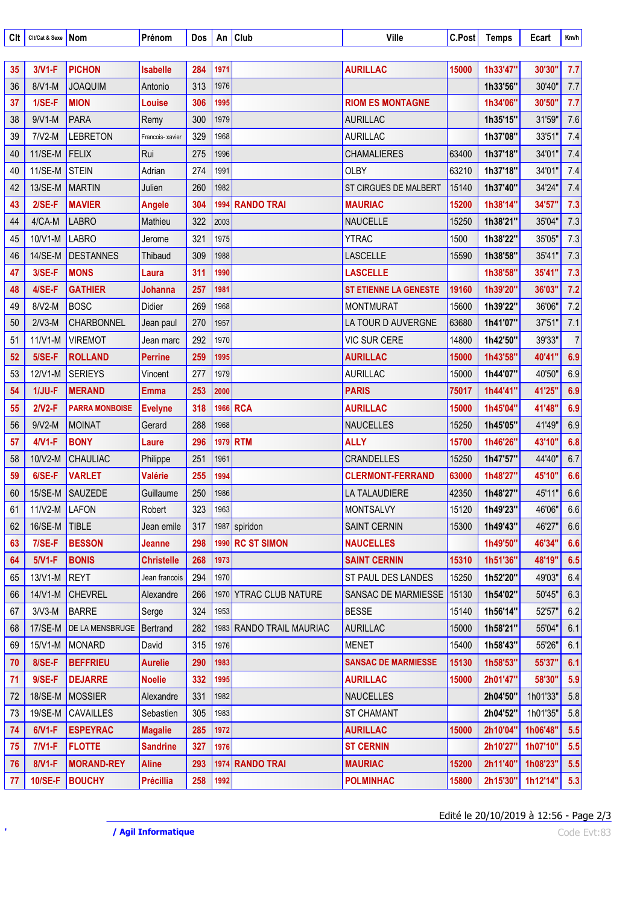| Clt | Cit/Cat & Sexe Nom |                        | Prénom            | Dos | An   | <b>Club</b>              | Ville                        | C.Post | <b>Temps</b> | Ecart    | Km/h           |
|-----|--------------------|------------------------|-------------------|-----|------|--------------------------|------------------------------|--------|--------------|----------|----------------|
| 35  | $3/V1-F$           | <b>PICHON</b>          | <b>Isabelle</b>   | 284 | 1971 |                          | <b>AURILLAC</b>              | 15000  | 1h33'47"     | 30'30"   | 7.7            |
| 36  | 8/V1-M             | <b>JOAQUIM</b>         | Antonio           | 313 | 1976 |                          |                              |        | 1h33'56"     | 30'40"   | 7.7            |
| 37  | $1/SE-F$           | <b>MION</b>            | Louise            | 306 | 1995 |                          | <b>RIOM ES MONTAGNE</b>      |        | 1h34'06"     | 30'50"   | 7.7            |
| 38  | $9/V1-M$           | <b>PARA</b>            | Remy              | 300 | 1979 |                          | <b>AURILLAC</b>              |        | 1h35'15"     | 31'59"   | 7.6            |
| 39  | $7/V2-M$           | <b>LEBRETON</b>        | Francois- xavier  | 329 | 1968 |                          | <b>AURILLAC</b>              |        | 1h37'08"     | 33'51"   | 7.4            |
| 40  | 11/SE-M            | FELIX                  | Rui               | 275 | 1996 |                          | <b>CHAMALIERES</b>           | 63400  | 1h37'18"     | 34'01"   | 7.4            |
| 40  | 11/SE-M STEIN      |                        | Adrian            | 274 | 1991 |                          | <b>OLBY</b>                  | 63210  | 1h37'18"     | 34'01"   | 7.4            |
| 42  | 13/SE-M MARTIN     |                        | Julien            | 260 | 1982 |                          | ST CIRGUES DE MALBERT        | 15140  | 1h37'40"     | 34'24"   | 7.4            |
| 43  | $2/SE-F$           | <b>MAVIER</b>          | <b>Angele</b>     | 304 |      | 1994 RANDO TRAI          | <b>MAURIAC</b>               | 15200  | 1h38'14"     | 34'57"   | 7.3            |
| 44  | 4/CA-M             | <b>LABRO</b>           | Mathieu           | 322 | 2003 |                          | <b>NAUCELLE</b>              | 15250  | 1h38'21"     | 35'04"   | 7.3            |
| 45  | 10/V1-M            | LABRO                  | Jerome            | 321 | 1975 |                          | <b>YTRAC</b>                 | 1500   | 1h38'22"     | 35'05"   | 7.3            |
| 46  | 14/SE-M            | DESTANNES              | Thibaud           | 309 | 1988 |                          | LASCELLE                     | 15590  | 1h38'58"     | 35'41"   | 7.3            |
| 47  | $3/SE-F$           | <b>MONS</b>            | Laura             | 311 | 1990 |                          | <b>LASCELLE</b>              |        | 1h38'58"     | 35'41"   | 7.3            |
| 48  | 4/SE-F             | <b>GATHIER</b>         | Johanna           | 257 | 1981 |                          | <b>ST ETIENNE LA GENESTE</b> | 19160  | 1h39'20"     | 36'03"   | 7.2            |
| 49  | 8/V2-M             | <b>BOSC</b>            | Didier            | 269 | 1968 |                          | <b>MONTMURAT</b>             | 15600  | 1h39'22"     | 36'06"   | 7.2            |
| 50  | $2/V3-M$           | <b>CHARBONNEL</b>      | Jean paul         | 270 | 1957 |                          | LA TOUR D AUVERGNE           | 63680  | 1h41'07"     | 37'51"   | 7.1            |
| 51  | $11/V1-M$          | <b>VIREMOT</b>         | Jean marc         | 292 | 1970 |                          | <b>VIC SUR CERE</b>          | 14800  | 1h42'50"     | 39'33"   | $\overline{7}$ |
| 52  | $5/SE-F$           | <b>ROLLAND</b>         | <b>Perrine</b>    | 259 | 1995 |                          | <b>AURILLAC</b>              | 15000  | 1h43'58"     | 40'41"   | 6.9            |
| 53  | 12/V1-M            | <b>SERIEYS</b>         | Vincent           | 277 | 1979 |                          | <b>AURILLAC</b>              | 15000  | 1h44'07"     | 40'50"   | 6.9            |
| 54  | $1/JU-F$           | <b>MERAND</b>          | <b>Emma</b>       | 253 | 2000 |                          | <b>PARIS</b>                 | 75017  | 1h44'41"     | 41'25"   | 6.9            |
| 55  | $2/N2-F$           | <b>PARRA MONBOISE</b>  | <b>Evelyne</b>    | 318 |      | 1966 RCA                 | <b>AURILLAC</b>              | 15000  | 1h45'04"     | 41'48"   | 6.9            |
| 56  | $9/V2-M$           | MOINAT                 | Gerard            | 288 | 1968 |                          | <b>NAUCELLES</b>             | 15250  | 1h45'05"     | 41'49"   | 6.9            |
| 57  | $4/N1-F$           | <b>BONY</b>            | Laure             | 296 |      | 1979 RTM                 | <b>ALLY</b>                  | 15700  | 1h46'26"     | 43'10"   | 6.8            |
| 58  | 10/V2-M            | <b>CHAULIAC</b>        | Philippe          | 251 | 1961 |                          | CRANDELLES                   | 15250  | 1h47'57"     | 44'40"   | 6.7            |
| 59  | $6/SE-F$           | <b>VARLET</b>          | <b>Valérie</b>    | 255 | 1994 |                          | <b>CLERMONT-FERRAND</b>      | 63000  | 1h48'27"     | 45'10"   | 6.6            |
| 60  |                    | 15/SE-M SAUZEDE        | Guillaume         | 250 | 1986 |                          | LA TALAUDIERE                | 42350  | 1h48'27"     | 45'11"   | 6.6            |
| 61  | $11/V2-M$ LAFON    |                        | Robert            | 323 | 1963 |                          | <b>MONTSALVY</b>             | 15120  | 1h49'23"     | 46'06"   | 6.6            |
| 62  | 16/SE-M TIBLE      |                        | Jean emile        | 317 |      | 1987 spiridon            | <b>SAINT CERNIN</b>          | 15300  | 1h49'43"     | 46'27"   | 6.6            |
| 63  | $7/SE-F$           | <b>BESSON</b>          | Jeanne            | 298 |      | 1990 RC ST SIMON         | <b>NAUCELLES</b>             |        | 1h49'50"     | 46'34"   | 6.6            |
| 64  | $5/V1-F$           | <b>BONIS</b>           | <b>Christelle</b> | 268 | 1973 |                          | <b>SAINT CERNIN</b>          | 15310  | 1h51'36"     | 48'19"   | 6.5            |
| 65  | 13/V1-M REYT       |                        | Jean francois     | 294 | 1970 |                          | <b>ST PAUL DES LANDES</b>    | 15250  | 1h52'20"     | 49'03"   | 6.4            |
| 66  |                    | 14/V1-M CHEVREL        | Alexandre         | 266 |      | 1970 YTRAC CLUB NATURE   | SANSAC DE MARMIESSE          | 15130  | 1h54'02"     | 50'45"   | 6.3            |
| 67  | $3/V3-M$           | <b>BARRE</b>           | Serge             | 324 | 1953 |                          | <b>BESSE</b>                 | 15140  | 1h56'14"     | 52'57"   | 6.2            |
| 68  | 17/SE-M            | <b>DE LA MENSBRUGE</b> | Bertrand          | 282 |      | 1983 RANDO TRAIL MAURIAC | <b>AURILLAC</b>              | 15000  | 1h58'21"     | 55'04"   | 6.1            |
| 69  |                    | 15/V1-M MONARD         | David             | 315 | 1976 |                          | <b>MENET</b>                 | 15400  | 1h58'43"     | 55'26"   | 6.1            |
| 70  | 8/SE-F             | <b>BEFFRIEU</b>        | <b>Aurelie</b>    | 290 | 1983 |                          | <b>SANSAC DE MARMIESSE</b>   | 15130  | 1h58'53"     | 55'37"   | 6.1            |
| 71  | $9/SE-F$           | <b>DEJARRE</b>         | <b>Noelie</b>     | 332 | 1995 |                          | <b>AURILLAC</b>              | 15000  | 2h01'47"     | 58'30"   | 5.9            |
| 72  |                    | 18/SE-M MOSSIER        | Alexandre         | 331 | 1982 |                          | <b>NAUCELLES</b>             |        | 2h04'50"     | 1h01'33" | 5.8            |
| 73  | 19/SE-M            | CAVAILLES              | Sebastien         | 305 | 1983 |                          | <b>ST CHAMANT</b>            |        | 2h04'52"     | 1h01'35" | 5.8            |
| 74  | $6/V1-F$           | <b>ESPEYRAC</b>        | <b>Magalie</b>    | 285 | 1972 |                          | <b>AURILLAC</b>              | 15000  | 2h10'04"     | 1h06'48" | 5.5            |
| 75  | $7/V1-F$           | <b>FLOTTE</b>          | <b>Sandrine</b>   | 327 | 1976 |                          | <b>ST CERNIN</b>             |        | 2h10'27"     | 1h07'10" | 5.5            |
| 76  | 8/V1-F             | <b>MORAND-REY</b>      | <b>Aline</b>      | 293 |      | 1974 RANDO TRAI          | <b>MAURIAC</b>               | 15200  | 2h11'40"     | 1h08'23" | 5.5            |
| 77  | $10/SE-F$          | <b>BOUCHY</b>          | <b>Précillia</b>  | 258 | 1992 |                          | <b>POLMINHAC</b>             | 15800  | 2h15'30"     | 1h12'14" | 5.3            |